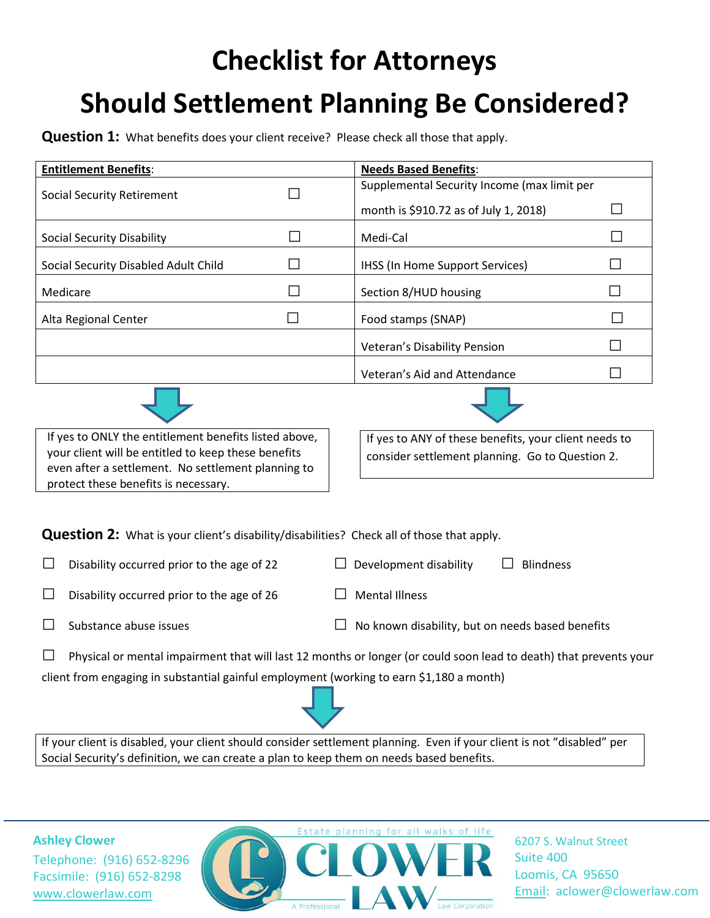## **Checklist for Attorneys Should Settlement Planning Be Considered?**

**Question 1:** What benefits does your client receive? Please check all those that apply.

| <b>Entitlement Benefits:</b>         | <b>Needs Based Benefits:</b>                |  |
|--------------------------------------|---------------------------------------------|--|
| <b>Social Security Retirement</b>    | Supplemental Security Income (max limit per |  |
|                                      | month is \$910.72 as of July 1, 2018)       |  |
| Social Security Disability           | Medi-Cal                                    |  |
| Social Security Disabled Adult Child | IHSS (In Home Support Services)             |  |
| Medicare                             | Section 8/HUD housing                       |  |
| Alta Regional Center                 | Food stamps (SNAP)                          |  |
|                                      | Veteran's Disability Pension                |  |
|                                      | Veteran's Aid and Attendance                |  |





If yes to ONLY the entitlement benefits listed above, your client will be entitled to keep these benefits even after a settlement. No settlement planning to protect these benefits is necessary.

If yes to ANY of these benefits, your client needs to consider settlement planning. Go to Question 2.

**Question 2:** What is your client's disability/disabilities? Check all of those that apply.

 $□$  Disability occurred prior to the age of 22  $□$  Development disability  $□$  Blindness

- $\Box$  Disability occurred prior to the age of 26  $\Box$  Mental Illness
- 

- 
- □ Substance abuse issues  $□$  No known disability, but on needs based benefits

 $\Box$  Physical or mental impairment that will last 12 months or longer (or could soon lead to death) that prevents your client from engaging in substantial gainful employment (working to earn \$1,180 a month)

If your client is disabled, your client should consider settlement planning. Even if your client is not "disabled" per Social Security's definition, we can create a plan to keep them on needs based benefits.